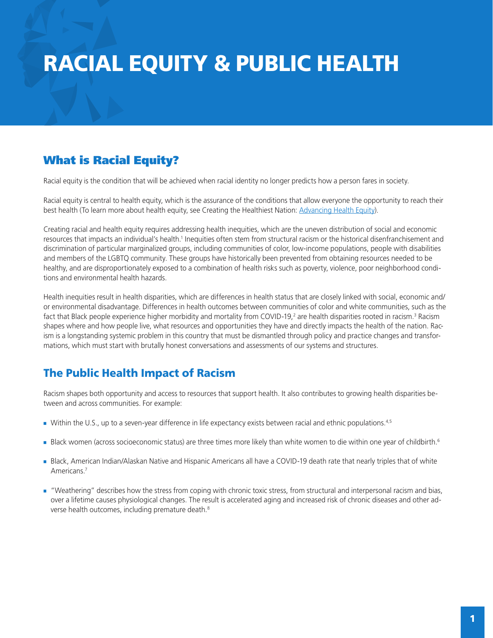# RACIAL EQUITY & PUBLIC HEALTH

# What is Racial Equity?

Racial equity is the condition that will be achieved when racial identity no longer predicts how a person fares in society.

Racial equity is central to health equity, which is the assurance of the conditions that allow everyone the opportunity to reach their best health (To learn more about health equity, see Creating the Healthiest Nation: [Advancing Health Equity](https://apha.org/-/media/Files/PDF/factsheets/Advancing_Health_Equity.ashx)).

Creating racial and health equity requires addressing health inequities, which are the uneven distribution of social and economic resources that impacts an individual's health.<sup>1</sup> Inequities often stem from structural racism or the historical disenfranchisement and discrimination of particular marginalized groups, including communities of color, low-income populations, people with disabilities and members of the LGBTQ community. These groups have historically been prevented from obtaining resources needed to be healthy, and are disproportionately exposed to a combination of health risks such as poverty, violence, poor neighborhood conditions and environmental health hazards.

Health inequities result in health disparities, which are differences in health status that are closely linked with social, economic and/ or environmental disadvantage. Differences in health outcomes between communities of color and white communities, such as the fact that Black people experience higher morbidity and mortality from COVID-19,<sup>2</sup> are health disparities rooted in racism.<sup>3</sup> Racism shapes where and how people live, what resources and opportunities they have and directly impacts the health of the nation. Racism is a longstanding systemic problem in this country that must be dismantled through policy and practice changes and transformations, which must start with brutally honest conversations and assessments of our systems and structures.

## The Public Health Impact of Racism

Racism shapes both opportunity and access to resources that support health. It also contributes to growing health disparities between and across communities. For example:

- Within the U.S., up to a seven-year difference in life expectancy exists between racial and ethnic populations.<sup>4,5</sup>
- Black women (across socioeconomic status) are three times more likely than white women to die within one year of childbirth.<sup>6</sup>
- Black, American Indian/Alaskan Native and Hispanic Americans all have a COVID-19 death rate that nearly triples that of white Americans.7
- N "Weathering" describes how the stress from coping with chronic toxic stress, from structural and interpersonal racism and bias, over a lifetime causes physiological changes. The result is accelerated aging and increased risk of chronic diseases and other adverse health outcomes, including premature death.<sup>8</sup>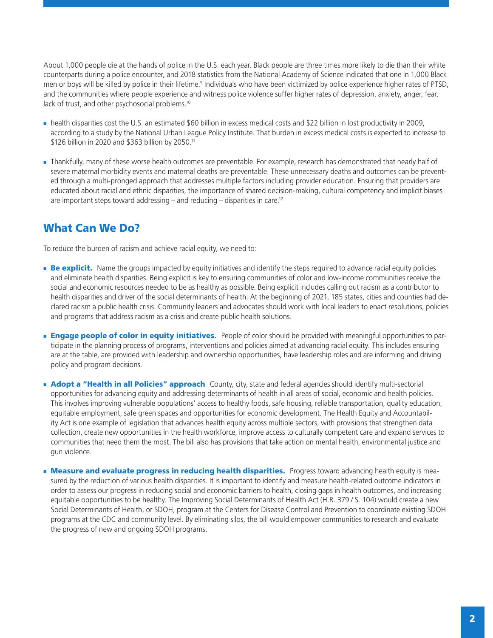About 1,000 people die at the hands of police in the U.S. each year. Black people are three times more likely to die than their white counterparts during a police encounter, and 2018 statistics from the National Academy of Science indicated that one in 1,000 Black men or boys will be killed by police in their lifetime.<sup>9</sup> Individuals who have been victimized by police experience higher rates of PTSD, and the communities where people experience and witness police violence suffer higher rates of depression, anxiety, anger, fear, lack of trust, and other psychosocial problems.<sup>10</sup>

- health disparities cost the U.S. an estimated \$60 billion in excess medical costs and \$22 billion in lost productivity in 2009, according to a study by the National Urban League Policy Institute. That burden in excess medical costs is expected to increase to \$126 billion in 2020 and \$363 billion by 2050.11
- Thankfully, many of these worse health outcomes are preventable. For example, research has demonstrated that nearly half of severe maternal morbidity events and maternal deaths are preventable. These unnecessary deaths and outcomes can be prevented through a multi-pronged approach that addresses multiple factors including provider education. Ensuring that providers are educated about racial and ethnic disparities, the importance of shared decision-making, cultural competency and implicit biases are important steps toward addressing – and reducing – disparities in care.<sup>12</sup>

### What Can We Do?

To reduce the burden of racism and achieve racial equity, we need to:

- **Be explicit.** Name the groups impacted by equity initiatives and identify the steps required to advance racial equity policies and eliminate health disparities. Being explicit is key to ensuring communities of color and low-income communities receive the social and economic resources needed to be as healthy as possible. Being explicit includes calling out racism as a contributor to health disparities and driver of the social determinants of health. At the beginning of 2021, 185 states, cities and counties had declared racism a public health crisis. Community leaders and advocates should work with local leaders to enact resolutions, policies and programs that address racism as a crisis and create public health solutions.
- **Engage people of color in equity initiatives.** People of color should be provided with meaningful opportunities to participate in the planning process of programs, interventions and policies aimed at advancing racial equity. This includes ensuring are at the table, are provided with leadership and ownership opportunities, have leadership roles and are informing and driving policy and program decisions.
- **Adopt a "Health in all Policies" approach** County, city, state and federal agencies should identify multi-sectorial opportunities for advancing equity and addressing determinants of health in all areas of social, economic and health policies. This involves improving vulnerable populations' access to healthy foods, safe housing, reliable transportation, quality education, equitable employment, safe green spaces and opportunities for economic development. The Health Equity and Accountability Act is one example of legislation that advances health equity across multiple sectors, with provisions that strengthen data collection, create new opportunities in the health workforce, improve access to culturally competent care and expand services to communities that need them the most. The bill also has provisions that take action on mental health, environmental justice and gun violence.
- **Measure and evaluate progress in reducing health disparities.** Progress toward advancing health equity is measured by the reduction of various health disparities. It is important to identify and measure health-related outcome indicators in order to assess our progress in reducing social and economic barriers to health, closing gaps in health outcomes, and increasing equitable opportunities to be healthy. The Improving Social Determinants of Health Act (H.R. 379 / S. 104) would create a new Social Determinants of Health, or SDOH, program at the Centers for Disease Control and Prevention to coordinate existing SDOH programs at the CDC and community level. By eliminating silos, the bill would empower communities to research and evaluate the progress of new and ongoing SDOH programs.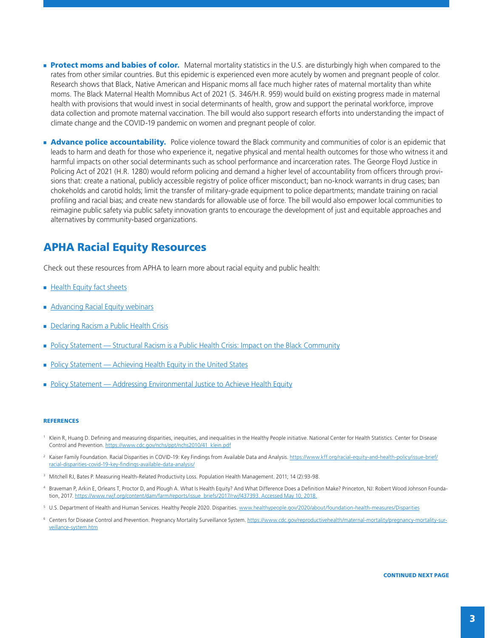- **Protect moms and babies of color.** Maternal mortality statistics in the U.S. are disturbingly high when compared to the rates from other similar countries. But this epidemic is experienced even more acutely by women and pregnant people of color. Research shows that Black, Native American and Hispanic moms all face much higher rates of maternal mortality than white moms. The Black Maternal Health Momnibus Act of 2021 (S. 346/H.R. 959) would build on existing progress made in maternal health with provisions that would invest in social determinants of health, grow and support the perinatal workforce, improve data collection and promote maternal vaccination. The bill would also support research efforts into understanding the impact of climate change and the COVID-19 pandemic on women and pregnant people of color.
- **Advance police accountability.** Police violence toward the Black community and communities of color is an epidemic that leads to harm and death for those who experience it, negative physical and mental health outcomes for those who witness it and harmful impacts on other social determinants such as school performance and incarceration rates. The George Floyd Justice in Policing Act of 2021 (H.R. 1280) would reform policing and demand a higher level of accountability from officers through provisions that: create a national, publicly accessible registry of police officer misconduct; ban no-knock warrants in drug cases; ban chokeholds and carotid holds; limit the transfer of military-grade equipment to police departments; mandate training on racial profiling and racial bias; and create new standards for allowable use of force. The bill would also empower local communities to reimagine public safety via public safety innovation grants to encourage the development of just and equitable approaches and alternatives by community-based organizations.

## APHA Racial Equity Resources

Check out these resources from APHA to learn more about racial equity and public health:

- $H$  [Health Equity fact sheets](https://apha.org/Topics-and-Issues/Health-Equity)
- [Advancing Racial Equity webinars](https://apha.org/racial-equity)
- [Declaring Racism a Public Health Crisis](https://apha.org/racism-declarations)
- [Policy Statement Structural Racism is a Public Health Crisis: Impact on the Black Community](https://apha.org/Policies-and-Advocacy/Public-Health-Policy-Statements/Policy-Database/2021/01/13/Structural-Racism-is-a-Public-Health-Crisis)
- [Policy Statement Achieving Health Equity in the United States](https://apha.org/Policies-and-Advocacy/Public-Health-Policy-Statements/Policy-Database/2019/01/29/Achieving-Health-Equity)
- [Policy Statement Addressing Environmental Justice to Achieve Health Equity](https://apha.org/Policies-and-Advocacy/Public-Health-Policy-Statements/Policy-Database/2020/01/14/Addressing-Environmental-Justice-to-Achieve-Health-Equity)

#### **REFERENCES**

- <sup>1</sup> Klein R, Huang D. Defining and measuring disparities, inequities, and inequalities in the Healthy People initiative. National Center for Health Statistics. Center for Disease Control and Prevention. [https://www.cdc.gov/nchs/ppt/nchs2010/41\\_klein.pdf](https://www.cdc.gov/nchs/ppt/nchs2010/41_klein.pdf)
- <sup>2</sup> Kaiser Family Foundation. Racial Disparities in COVID-19: Key Findings from Available Data and Analysis. [https://www.kff.org/racial-equity-and-health-policy/issue-brief/](https://www.kff.org/racial-equity-and-health-policy/issue-brief/racial-disparities-covid-19-key-findings-available-data-analysis/) [racial-disparities-covid-19-key-findings-available-data-analysis/](https://www.kff.org/racial-equity-and-health-policy/issue-brief/racial-disparities-covid-19-key-findings-available-data-analysis/)
- <sup>3</sup> Mitchell RJ, Bates P. Measuring Health-Related Productivity Loss. Population Health Management. 2011; 14 (2):93-98.
- <sup>4</sup> Braveman P, Arkin E, Orleans T, Proctor D, and Plough A. What Is Health Equity? And What Difference Does a Definition Make? Princeton, NJ: Robert Wood Johnson Foundation, 2017. https://www.rwjf.org/content/dam/farm/reports/issue\_briefs/2017/rwjf437393. Accessed May 10, 2018.
- <sup>5</sup> U.S. Department of Health and Human Services. Healthy People 2020. Disparities.<www.healthypeople.gov/2020/about/foundation-health-measures/Disparities>
- 6 Centers for Disease Control and Prevention. Pregnancy Mortality Surveillance System. [https://www.cdc.gov/reproductivehealth/maternal-mortality/pregnancy-mortality-sur](https://www.cdc.gov/reproductivehealth/maternal-mortality/pregnancy-mortality-surveillance-system.htm)[veillance-system.htm](https://www.cdc.gov/reproductivehealth/maternal-mortality/pregnancy-mortality-surveillance-system.htm)

CONTINUED NEXT PAGE